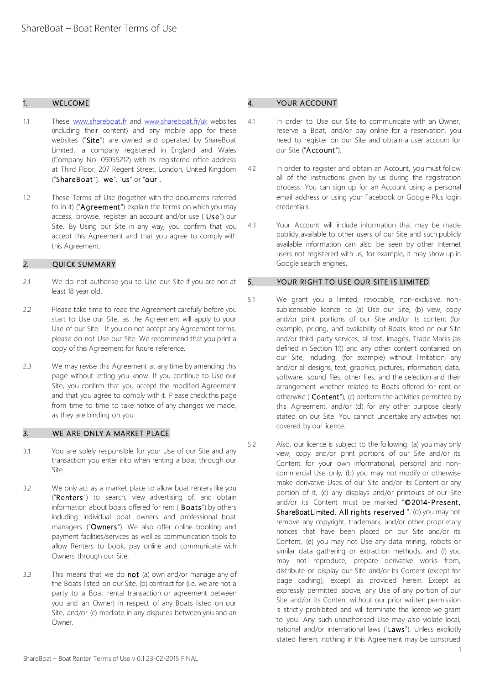# 1. WELCOME

- 1.1 These [www.shareboat.fr](http://www.shareboat.fr/) and [www.shareboat.fr/uk](http://www.shareboat.fr/uk) websites (including their content) and any mobile app for these websites ("Site") are owned and operated by ShareBoat Limited, a company registered in England and Wales (Company No. 09055212) with its registered office address at Third Floor, 207 Regent Street, London, United Kingdom ("ShareBoat"), "we", "us" or "our".
- 1.2 These Terms of Use (together with the documents referred to in it) ("Agreement") explain the terms on which you may access, browse, register an account and/or use ("Use") our Site. By Using our Site in any way, you confirm that you accept this Agreement and that you agree to comply with this Agreement.

### 2. QUICK SUMMARY

- 2.1 We do not authorise you to Use our Site if you are not at least 18 year old.
- 2.2 Please take time to read the Agreement carefully before you start to Use our Site, as the Agreement will apply to your Use of our Site. If you do not accept any Agreement terms, please do not Use our Site. We recommend that you print a copy of this Agreement for future reference.
- 2.3 We may revise this Agreement at any time by amending this page without letting you know. If you continue to Use our Site, you confirm that you accept the modified Agreement and that you agree to comply with it. Please check this page from time to time to take notice of any changes we made, as they are binding on you.

### 3. WE ARE ONLY A MARKET PLACE

- 3.1 You are solely responsible for your Use of our Site and any transaction you enter into when renting a boat through our Site.
- 3.2 We only act as a market place to allow boat renters like you ("Renters") to search, view advertising of, and obtain information about boats offered for rent ("Boats") by others including individual boat owners and professional boat managers ("Owners"). We also offer online booking and payment facilities/services as well as communication tools to allow Renters to book, pay online and communicate with Owners through our Site.
- 3.3 This means that we do **not** (a) own and/or manage any of the Boats listed on our Site, (b) contract for (i.e. we are not a party to a Boat rental transaction or agreement between you and an Owner) in respect of any Boats listed on our Site, and/or (c) mediate in any disputes between you and an Owner.

### YOUR ACCOUNT

- 4.1 In order to Use our Site to communicate with an Owner, reserve a Boat, and/or pay online for a reservation, you need to register on our Site and obtain a user account for our Site ("Account").
- 4.2 In order to register and obtain an Account, you must follow all of the instructions given by us during the registration process. You can sign up for an Account using a personal email address or using your Facebook or Google Plus login credentials.
- 4.3 Your Account will include information that may be made publicly available to other users of our Site and such publicly available information can also be seen by other Internet users not registered with us, for example, it may show up in Google search engines.

# 5. YOUR RIGHT TO USE OUR SITE IS LIMITED

- 5.1 We grant you a limited, revocable, non-exclusive, nonsublicensable licence to (a) Use our Site, (b) view, copy and/or print portions of our Site and/or its content (for example, pricing, and availability of Boats listed on our Site and/or third-party services, all text, images, Trade Marks (as defined in Section 11)) and any other content contained on our Site, including, (for example) without limitation, any and/or all designs, text, graphics, pictures, information, data, software, sound files, other files, and the selection and their arrangement whether related to Boats offered for rent or otherwise ("Content"), (c) perform the activities permitted by this Agreement, and/or (d) for any other purpose clearly stated on our Site. You cannot undertake any activities not covered by our licence.
- 5.2 Also, our licence is subject to the following: (a) you may only view, copy and/or print portions of our Site and/or its Content for your own informational, personal and noncommercial Use only, (b) you may not modify or otherwise make derivative Uses of our Site and/or its Content or any portion of it, (c) any displays and/or printouts of our Site and/or its Content must be marked "©2014-Present, ShareBoat Limited. All rights reserved.", (d) you may not remove any copyright, trademark, and/or other proprietary notices that have been placed on our Site and/or its Content, (e) you may not Use any data mining, robots or similar data gathering or extraction methods, and (f) you may not reproduce, prepare derivative works from, distribute or display our Site and/or its Content (except for page caching), except as provided herein. Except as expressly permitted above, any Use of any portion of our Site and/or its Content without our prior written permission is strictly prohibited and will terminate the licence we grant to you. Any such unauthorised Use may also violate local, national and/or international laws ("Laws"). Unless explicitly stated herein, nothing in this Agreement may be construed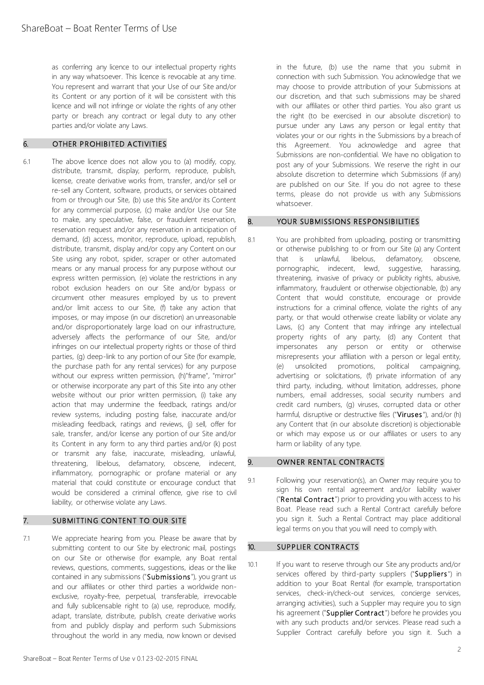as conferring any licence to our intellectual property rights in any way whatsoever. This licence is revocable at any time. You represent and warrant that your Use of our Site and/or its Content or any portion of it will be consistent with this licence and will not infringe or violate the rights of any other party or breach any contract or legal duty to any other parties and/or violate any Laws.

# 6. OTHER PROHIBITED ACTIVITIES

6.1 The above licence does not allow you to (a) modify, copy, distribute, transmit, display, perform, reproduce, publish, license, create derivative works from, transfer, and/or sell or re-sell any Content, software, products, or services obtained from or through our Site, (b) use this Site and/or its Content for any commercial purpose, (c) make and/or Use our Site to make, any speculative, false, or fraudulent reservation, reservation request and/or any reservation in anticipation of demand, (d) access, monitor, reproduce, upload, republish, distribute, transmit, display and/or copy any Content on our Site using any robot, spider, scraper or other automated means or any manual process for any purpose without our express written permission, (e) violate the restrictions in any robot exclusion headers on our Site and/or bypass or circumvent other measures employed by us to prevent and/or limit access to our Site, (f) take any action that imposes, or may impose (in our discretion) an unreasonable and/or disproportionately large load on our infrastructure, adversely affects the performance of our Site, and/or infringes on our intellectual property rights or those of third parties, (g) deep-link to any portion of our Site (for example, the purchase path for any rental services) for any purpose without our express written permission, (h)"frame", "mirror" or otherwise incorporate any part of this Site into any other website without our prior written permission, (i) take any action that may undermine the feedback, ratings and/or review systems, including posting false, inaccurate and/or misleading feedback, ratings and reviews, (j) sell, offer for sale, transfer, and/or license any portion of our Site and/or its Content in any form to any third parties and/or (k) post or transmit any false, inaccurate, misleading, unlawful, threatening, libelous, defamatory, obscene, indecent, inflammatory, pornographic or profane material or any material that could constitute or encourage conduct that would be considered a criminal offence, give rise to civil liability, or otherwise violate any Laws.

### 7. SUBMITTING CONTENT TO OUR SITE

7.1 We appreciate hearing from you. Please be aware that by submitting content to our Site by electronic mail, postings on our Site or otherwise (for example, any Boat rental reviews, questions, comments, suggestions, ideas or the like contained in any submissions ("Submissions"), you grant us and our affiliates or other third parties a worldwide nonexclusive, royalty-free, perpetual, transferable, irrevocable and fully sublicensable right to (a) use, reproduce, modify, adapt, translate, distribute, publish, create derivative works from and publicly display and perform such Submissions throughout the world in any media, now known or devised

in the future, (b) use the name that you submit in connection with such Submission. You acknowledge that we may choose to provide attribution of your Submissions at our discretion, and that such submissions may be shared with our affiliates or other third parties. You also grant us the right (to be exercised in our absolute discretion) to pursue under any Laws any person or legal entity that violates your or our rights in the Submissions by a breach of this Agreement. You acknowledge and agree that Submissions are non-confidential. We have no obligation to post any of your Submissions. We reserve the right in our absolute discretion to determine which Submissions (if any) are published on our Site. If you do not agree to these terms, please do not provide us with any Submissions whatsoever.

#### 8. YOUR SUBMISSIONS RESPONSIBILITIES

8.1 You are prohibited from uploading, posting or transmitting or otherwise publishing to or from our Site (a) any Content that is unlawful, libelous, defamatory, obscene, pornographic, indecent, lewd, suggestive, harassing, threatening, invasive of privacy or publicity rights, abusive, inflammatory, fraudulent or otherwise objectionable, (b) any Content that would constitute, encourage or provide instructions for a criminal offence, violate the rights of any party, or that would otherwise create liability or violate any Laws, (c) any Content that may infringe any intellectual property rights of any party, (d) any Content that impersonates any person or entity or otherwise misrepresents your affiliation with a person or legal entity, (e) unsolicited promotions, political campaigning, advertising or solicitations, (f) private information of any third party, including, without limitation, addresses, phone numbers, email addresses, social security numbers and credit card numbers, (g) viruses, corrupted data or other harmful, disruptive or destructive files ("Viruses"), and/or (h) any Content that (in our absolute discretion) is objectionable or which may expose us or our affiliates or users to any harm or liability of any type.

# 9. OWNER RENTAL CONTRACTS

9.1 Following your reservation(s), an Owner may require you to sign his own rental agreement and/or liability waiver ("Rental Contract") prior to providing you with access to his Boat. Please read such a Rental Contract carefully before you sign it. Such a Rental Contract may place additional legal terms on you that you will need to comply with.

# 10. SUPPLIER CONTRACTS

10.1 If you want to reserve through our Site any products and/or services offered by third-party suppliers ("Suppliers") in addition to your Boat Rental (for example, transportation services, check-in/check-out services, concierge services, arranging activities), such a Supplier may require you to sign his agreement ("Supplier Contract") before he provides you with any such products and/or services. Please read such a Supplier Contract carefully before you sign it. Such a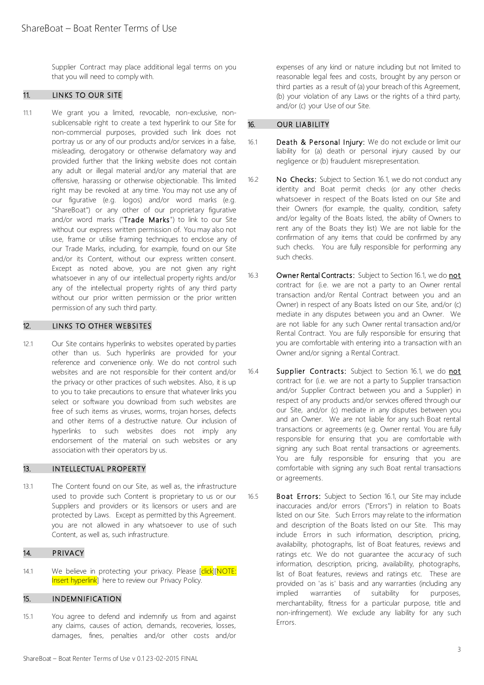Supplier Contract may place additional legal terms on you that you will need to comply with.

# 11. LINKS TO OUR SITE

11.1 We grant you a limited, revocable, non-exclusive, nonsublicensable right to create a text hyperlink to our Site for non-commercial purposes, provided such link does not portray us or any of our products and/or services in a false, misleading, derogatory or otherwise defamatory way and provided further that the linking website does not contain any adult or illegal material and/or any material that are offensive, harassing or otherwise objectionable. This limited right may be revoked at any time. You may not use any of our figurative (e.g. logos) and/or word marks (e.g. "ShareBoat") or any other of our proprietary figurative and/or word marks ("Trade Marks") to link to our Site without our express written permission of. You may also not use, frame or utilise framing techniques to enclose any of our Trade Marks, including, for example, found on our Site and/or its Content, without our express written consent. Except as noted above, you are not given any right whatsoever in any of our intellectual property rights and/or any of the intellectual property rights of any third party without our prior written permission or the prior written permission of any such third party.

# 12. LINKS TO OTHER WEBSITES

12.1 Our Site contains hyperlinks to websites operated by parties other than us. Such hyperlinks are provided for your reference and convenience only. We do not control such websites and are not responsible for their content and/or the privacy or other practices of such websites. Also, it is up to you to take precautions to ensure that whatever links you select or software you download from such websites are free of such items as viruses, worms, trojan horses, defects and other items of a destructive nature. Our inclusion of hyperlinks to such websites does not imply any endorsement of the material on such websites or any association with their operators by us.

### 13. INTELLECTUAL PROPERTY

13.1 The Content found on our Site, as well as, the infrastructure used to provide such Content is proprietary to us or our Suppliers and providers or its licensors or users and are protected by Laws. Except as permitted by this Agreement. you are not allowed in any whatsoever to use of such Content, as well as, such infrastructure.

#### 14. PRIVACY

14.1 We believe in protecting your privacy. Please [click][NOTE: Insert hyperlink] here to review our Privacy Policy.

#### 15. INDEMNIFICATION

15.1 You agree to defend and indemnify us from and against any claims, causes of action, demands, recoveries, losses, damages, fines, penalties and/or other costs and/or expenses of any kind or nature including but not limited to reasonable legal fees and costs, brought by any person or third parties as a result of (a) your breach of this Agreement, (b) your violation of any Laws or the rights of a third party, and/or (c) your Use of our Site.

#### 16. OUR LIABILITY

- 16.1 Death & Personal Injury: We do not exclude or limit our liability for (a) death or personal injury caused by our negligence or (b) fraudulent misrepresentation.
- 16.2 No Checks: Subject to Section 16.1, we do not conduct any identity and Boat permit checks (or any other checks whatsoever in respect of the Boats listed on our Site and their Owners (for example, the quality, condition, safety and/or legality of the Boats listed, the ability of Owners to rent any of the Boats they list) We are not liable for the confirmation of any items that could be confirmed by any such checks. You are fully responsible for performing any such checks.
- 16.3 Owner Rental Contracts: Subject to Section 16.1, we do not contract for (i.e. we are not a party to an Owner rental transaction and/or Rental Contract between you and an Owner) in respect of any Boats listed on our Site, and/or (c) mediate in any disputes between you and an Owner. We are not liable for any such Owner rental transaction and/or Rental Contract. You are fully responsible for ensuring that you are comfortable with entering into a transaction with an Owner and/or signing a Rental Contract.
- 16.4 Supplier Contracts: Subject to Section 16.1, we do not contract for (i.e. we are not a party to Supplier transaction and/or Supplier Contract between you and a Supplier) in respect of any products and/or services offered through our our Site, and/or (c) mediate in any disputes between you and an Owner. We are not liable for any such Boat rental transactions or agreements (e.g. Owner rental. You are fully responsible for ensuring that you are comfortable with signing any such Boat rental transactions or agreements. You are fully responsible for ensuring that you are comfortable with signing any such Boat rental transactions or agreements.
- 16.5 Boat Errors: Subject to Section 16.1, our Site may include inaccuracies and/or errors ("Errors") in relation to Boats listed on our Site. Such Errors may relate to the information and description of the Boats listed on our Site. This may include Errors in such information, description, pricing, availability, photographs, list of Boat features, reviews and ratings etc. We do not guarantee the accuracy of such information, description, pricing, availability, photographs, list of Boat features, reviews and ratings etc. These are provided on 'as is' basis and any warranties (including any implied warranties of suitability for purposes, merchantability, fitness for a particular purpose, title and non-infringement). We exclude any liability for any such Errors.